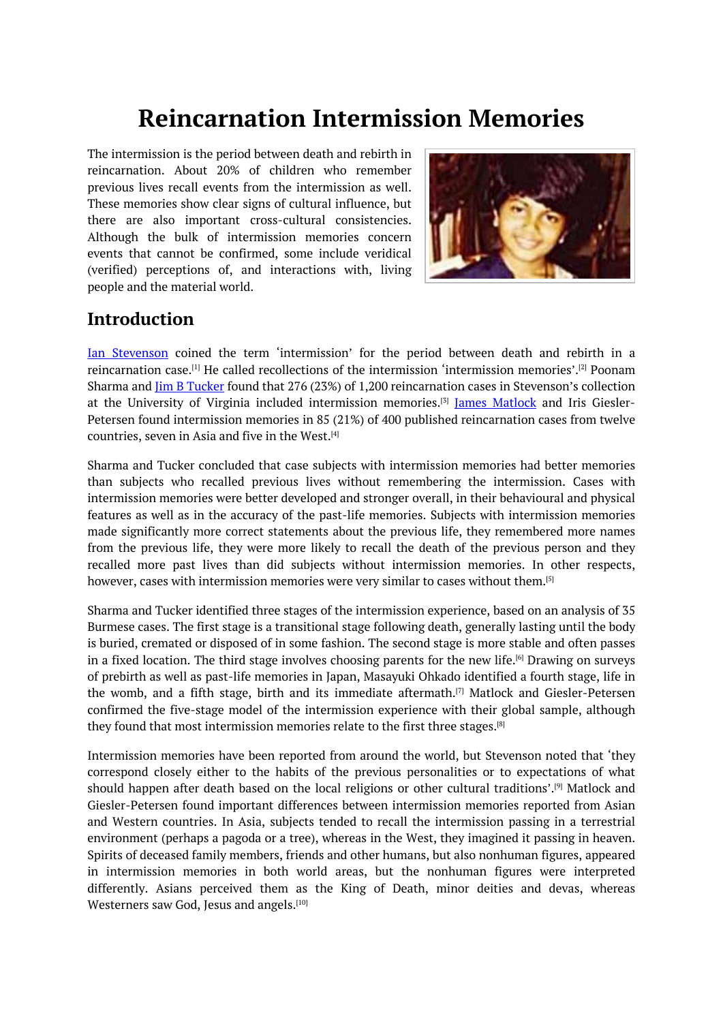# **Reincarnation Intermission Memories**

<span id="page-0-0"></span>The intermission is the period between death and rebirth in reincarnation. About 20% of children who remember previous lives recall events from the intermission as well. These memories show clear signs of cultural influence, but there are also important cross-cultural consistencies. Although the bulk of intermission memories concern events that cannot be confirmed, some include veridical (verified) perceptions of, and interactions with, living people and the material world.



# **Introduction**

Ian Stevenson coined the term 'intermission' for the period between death and rebirth in a reincarnation case.<sup>[1]</sup> He called recollections of the intermission 'intermission memories'.<sup>[2]</sup> Poonam Sharma and Jim B Tucker found that 276 (23%) of 1,200 reincarnation cases in Stevenson's collection at the University of Virginia included intermission memories.<sup>[3]</sup> <u>James Matlock</u> and Iris Giesler-Petersen found int[erm](#page-0-0)ission memories in 85 (21%) of 400 published reincarnation cases f[rom](#page-0-0) twelve countries, seven in Asia and five in the West. [4]

Sharma and Tucker concluded that case subjects with intermiss[io](#page-0-0)n memories had better memories than subjects who recalled previous lives without remembering the intermission. Cases with intermission memories were better develope[d](#page-0-0) and stronger overall, in their behavioural and physical features as well as in the accuracy of the past-life memories. Subjects with intermission memories made significantly more correct statements about the previous life, they remembered more names from the previous life, they were more likely to recall the death of the previous person and they recalled more past lives than did subjects without intermission memories. In other respects, however, cases with intermission memories were very similar to cases without them. [5]

Sharma and Tucker identified three stages of the intermission experience, based on an analysis of 35 Burmese cases. The first stage is a transitional stage following death, generally lasting until the body is buried, cremated or disposed of in some fashion. The second stage is more stable [an](#page-0-0)d often passes in a fixed location. The third stage involves choosing parents for the new life. [6] Drawing on surveys of prebirth as well as past-life memories in Japan, Masayuki Ohkado identified a fourth stage, life in the womb, and a fifth stage, birth and its immediate aftermath.<sup>[7]</sup> Matlock and Giesler-Petersen confirmed the five-stage model of the intermission experience with their gl[ob](#page-0-0)al sample, although they found that most intermission memories relate to the first three stages. [8]

Intermission memories have been reported from around the worl[d,](#page-0-0) but Stevenson noted that 'they correspond closely either to the habits of the previous personalities or to expectations of what should happen after death based on the local religions or other cultural [tra](#page-0-0)ditions'. [9] Matlock and Giesler-Petersen found important differences between intermission memories reported from Asian and Western countries. In Asia, subjects tended to recall the intermission passing in a terrestrial environment (perhaps a pagoda or a tree), whereas in the West, they imagined it pas[sin](#page-0-0)g in heaven. Spirits of deceased family members, friends and other humans, but also nonhuman figures, appeared in intermission memories in both world areas, but the nonhuman figures were interpreted differently. Asians perceived them as the King of Death, minor deities and devas, whereas Westerners saw God, Jesus and angels. [10]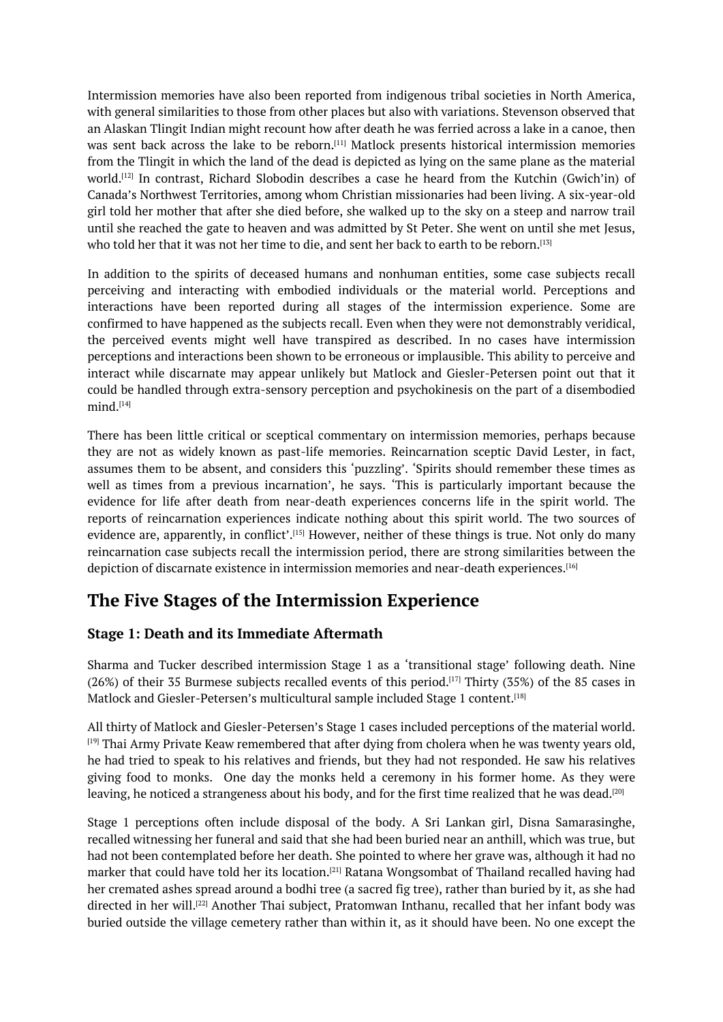Intermission memories have also been reported from indigenous tribal societies in North America, with general similarities to those from other places but also with variations. Stevenson observed that an Alaskan Tlingit Indian might recount how after death he was ferried across a lake in a canoe, then was sent back across the lake to be reborn. [11] Matlock presents historical intermission memories from the Tlingit in which the land of the dead is depicted as lying on the same plane as the material world. [12] In contrast, Richard Slobodin describes a case he heard from the Kutchin (Gwich'in) of Canada's Northwest Territories, among whom Christian missionaries had been living. A six-year-old girl told her mother that after she died befor[e,](#page-0-0) she walked up to the sky on a steep and narrow trail until [she](#page-0-0) reached the gate to heaven and was admitted by St Peter. She went on until she met Jesus, who told her that it was not her time to die, and sent her back to earth to be reborn. $^{\scriptscriptstyle [13]}$ 

In addition to the spirits of deceased humans and nonhuman entities, some case subjects recall perceiving and interacting with embodied individuals or the material world. Perceptions and interactions have been reported during all stages of the intermission expe[rien](#page-0-0)ce. Some are confirmed to have happened as the subjects recall. Even when they were not demonstrably veridical, the perceived events might well have transpired as described. In no cases have intermission perceptions and interactions been shown to be erroneous or implausible. This ability to perceive and interact while discarnate may appear unlikely but Matlock and Giesler-Petersen point out that it could be handled through extra-sensory perception and psychokinesis on the part of a disembodied mind. [14]

There has been little critical or sceptical commentary on intermission memories, perhaps because they are not as widely known as past-life memories. Reincarnation sceptic David Lester, in fact, assu[mes](#page-0-0) them to be absent, and considers this 'puzzling'. 'Spirits should remember these times as well as times from a previous incarnation', he says. 'This is particularly important because the evidence for life after death from near-death experiences concerns life in the spirit world. The reports of reincarnation experiences indicate nothing about this spirit world. The two sources of evidence are, apparently, in conflict'.<sup>[15]</sup> However, neither of these things is true. Not only do many reincarnation case subjects recall the intermission period, there are strong similarities between the depiction of discarnate existence in intermission memories and near-death experiences. $^{\rm{[16]}}$ 

# **The Five Stages of the I[nte](#page-0-0)rmission Experience**

#### **Stage 1: Death and its Immediate Aftermath**

Sharma and Tucker described intermission Stage 1 as a 'transitional stage' following death. Nine  $(26%)$  of their 35 Burmese subjects recalled events of this period.<sup>[17]</sup> Thirty (35%) of the 85 cases in Matlock and Giesler-Petersen's multicultural sample included Stage 1 content. [18]

All thirty of Matlock and Giesler-Petersen's Stage 1 cases included perceptions of the material world.  $[19]$  Thai Army Private Keaw remembered that after dying from cho[lera](#page-0-0) when he was twenty years old, he had tried to speak to his relatives and friends, but they had not responde[d.](#page-0-0) He saw his relatives giving food to monks. One day the monks held a ceremony in his former home. As they were [lea](#page-0-0)ving, he noticed a strangeness about his body, and for the first time realized that he was dead.[20]

Stage 1 perceptions often include disposal of the body. A Sri Lankan girl, Disna Samarasinghe, recalled witnessing her funeral and said that she had been buried near an anthill, which was true, but had not been contemplated before her death. She pointed to where her grave was, although it ha[d](#page-0-0) no marker that could have told her its location.<sup>[21]</sup> Ratana Wongsombat of Thailand recalled having had her cremated ashes spread around a bodhi tree (a sacred fig tree), rather than buried by it, as she had directed in her will.<sup>[22]</sup> Another Thai subject, Pratomwan Inthanu, recalled that her infant body was buried outside the village cemetery rather t[han](#page-0-0) within it, as it should have been. No one except the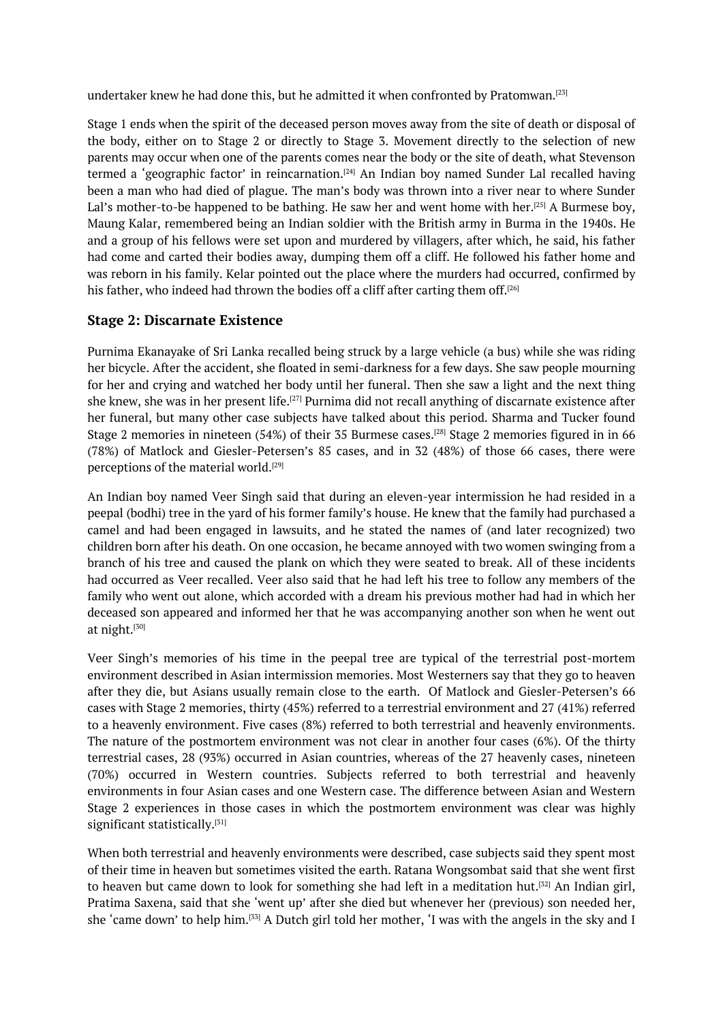undertaker knew he had done this, but he admitted it when confronted by Pratomwan. $^{\left[ 23\right] }$ 

Stage 1 ends when the spirit of the deceased person moves away from the site of death or disposal of the body, either on to Stage 2 or directly to Stage 3. Movement directly to the selection of new parents may occur when one of the parents comes near the body or the site of death, [wha](#page-0-0)t Stevenson termed a 'geographic factor' in reincarnation.<sup>[24]</sup> An Indian boy named Sunder Lal recalled having been a man who had died of plague. The man's body was thrown into a river near to where Sunder Lal's mother-to-be happened to be bathing. He saw her and went home with her.<sup>[25]</sup> A Burmese boy, Maung Kalar, remembered being an Indian sol[die](#page-0-0)r with the British army in Burma in the 1940s. He and a group of his fellows were set upon and murdered by villagers, after which, he said, his father had come and carted their bodies away, dumping them off a cliff. He followed h[is](#page-0-0) father home and was reborn in his family. Kelar pointed out the place where the murders had occurred, confirmed by his father, who indeed had thrown the bodies off a cliff after carting them off. [26]

#### **Stage 2: Discarnate Existence**

Purnima Ekanayake of Sri Lanka recalled being struck by a large vehicle (a b[us\)](#page-0-0) while she was riding her bicycle. After the accident, she floated in semi-darkness for a few days. She saw people mourning for her and crying and watched her body until her funeral. Then she saw a light and the next thing she knew, she was in her present life.<sup>[27]</sup> Purnima did not recall anything of discarnate existence after her funeral, but many other case subjects have talked about this period. Sharma and Tucker found Stage 2 memories in nineteen (54%) of their 35 Burmese cases.<sup>[28]</sup> Stage 2 memories figured in in 66 (78%) of Matlock and Giesler-Peter[sen](#page-0-0)'s 85 cases, and in 32 (48%) of those 66 cases, there were perceptions of the material world. [29]

An Indian boy named Veer Singh said that during an eleven-y[ea](#page-0-0)r intermission he had resided in a peepal (bodhi) tree in the yard of his former family's house. He knew that the family had purchased a camel and had been engaged in [law](#page-0-0)suits, and he stated the names of (and later recognized) two children born after his death. On one occasion, he became annoyed with two women swinging from a branch of his tree and caused the plank on which they were seated to break. All of these incidents had occurred as Veer recalled. Veer also said that he had left his tree to follow any members of the family who went out alone, which accorded with a dream his previous mother had had in which her deceased son appeared and informed her that he was accompanying another son when he went out at night.[<sup>30]</sup>

Veer Singh's memories of his time in the peepal tree are typical of the terrestrial post-mortem environment described in Asian intermission memories. Most Westerners say that they go to heaven after th[ey](#page-0-0) die, but Asians usually remain close to the earth. Of Matlock and Giesler-Petersen's 66 cases with Stage 2 memories, thirty (45%) referred to a terrestrial environment and 27 (41%) referred to a heavenly environment. Five cases (8%) referred to both terrestrial and heavenly environments. The nature of the postmortem environment was not clear in another four cases (6%). Of the thirty terrestrial cases, 28 (93%) occurred in Asian countries, whereas of the 27 heavenly cases, nineteen (70%) occurred in Western countries. Subjects referred to both terrestrial and heavenly environments in four Asian cases and one Western case. The difference between Asian and Western Stage 2 experiences in those cases in which the postmortem environment was clear was highly significant statistically. [31]

When both terrestrial and heavenly environments were described, case subjects said they spent most of their time in heaven but sometimes visited the earth. Ratana Wongsombat said that she went first to heaven but came do[wn](#page-0-0) to look for something she had left in a meditation hut. [32] An Indian girl, Pratima Saxena, said that she 'went up' after she died but whenever her (previous) son needed her, she 'came down' to help him. [33] A Dutch girl told her mother, 'I was with the angels in the sky and I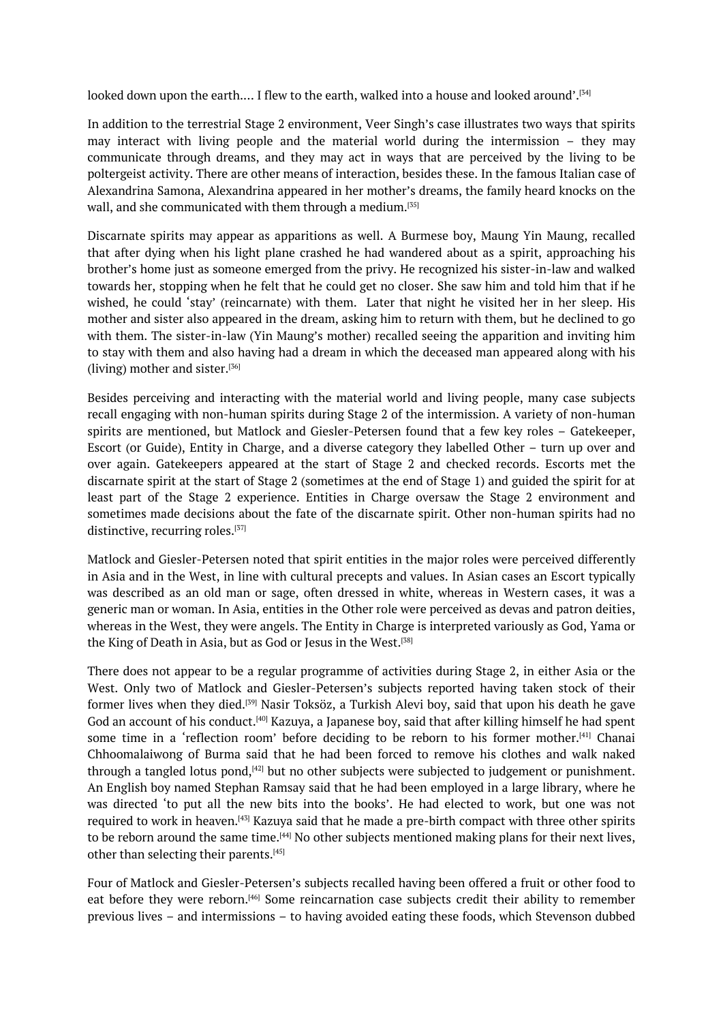looked down upon the earth.... I flew to the earth, walked into a house and looked around'.[34]

In addition to the terrestrial Stage 2 environment, Veer Singh's case illustrates two ways that spirits may interact with living people and the material world during the intermission – they may communicate through dreams, and they may act in ways that are perceived by the li[vin](#page-0-0)g to be poltergeist activity. There are other means of interaction, besides these. In the famous Italian case of Alexandrina Samona, Alexandrina appeared in her mother's dreams, the family heard knocks on the wall, and she communicated with them through a medium. [35]

Discarnate spirits may appear as apparitions as well. A Burmese boy, Maung Yin Maung, recalled that after dying when his light plane crashed he had wandered about as a spirit, approaching his brother's home just as someone emerged from the privy. [He](#page-0-0) recognized his sister-in-law and walked towards her, stopping when he felt that he could get no closer. She saw him and told him that if he wished, he could 'stay' (reincarnate) with them. Later that night he visited her in her sleep. His mother and sister also appeared in the dream, asking him to return with them, but he declined to go with them. The sister-in-law (Yin Maung's mother) recalled seeing the apparition and inviting him to stay with them and also having had a dream in which the deceased man appeared along with his (living) mother and sister. [36]

Besides perceiving and interacting with the material world and living people, many case subjects recall engaging with non-human spirits during Stage 2 of the intermission. A variety of non-human spirits are mentioned, b[ut](#page-0-0) Matlock and Giesler-Petersen found that a few key roles – Gatekeeper, Escort (or Guide), Entity in Charge, and a diverse category they labelled Other – turn up over and over again. Gatekeepers appeared at the start of Stage 2 and checked records. Escorts met the discarnate spirit at the start of Stage 2 (sometimes at the end of Stage 1) and guided the spirit for at least part of the Stage 2 experience. Entities in Charge oversaw the Stage 2 environment and sometimes made decisions about the fate of the discarnate spirit. Other non-human spirits had no distinctive, recurring roles.<sup>[37]</sup>

Matlock and Giesler-Petersen noted that spirit entities in the major roles were perceived differently in Asia and in the West, in line with cultural precepts and values. In Asian cases an Escort typically was described as an old [man](#page-0-0) or sage, often dressed in white, whereas in Western cases, it was a generic man or woman. In Asia, entities in the Other role were perceived as devas and patron deities, whereas in the West, they were angels. The Entity in Charge is interpreted variously as God, Yama or the King of Death in Asia, but as God or Jesus in the West. [38]

There does not appear to be a regular programme of activities during Stage 2, in either Asia or the West. Only two of Matlock and Giesler-Petersen's subjects reported having taken stock of their former lives when they died.<sup>[39]</sup> Nasir Toksöz, a Turkish [Ale](#page-0-0)vi boy, said that upon his death he gave God an account of his conduct.<sup>[40]</sup> Kazuya, a Japanese boy, said that after killing himself he had spent some time in a 'reflection room' before deciding to be reborn to his former mother. [41] Chanai Chhoomalaiwong of Burma [sa](#page-0-0)id that he had been forced to remove his clothes and walk naked through a tangled lotus pond, <sup>[42]</sup> but no other subjects were subjected to judgement or punishment. An English boy named Stephan [R](#page-0-0)amsay said that he had been employed in a large library, [w](#page-0-0)here he was directed 'to put all the new bits into the books'. He had elected to work, but one was not required to work in heaven. [43] [Ka](#page-0-0)zuya said that he made a pre-birth compact with three other spirits to be reborn around the same time.<sup>[44]</sup> No other subjects mentioned making plans for their next lives, other than selecting their parents. [45]

Four of Matlock and Giesle[r-P](#page-0-0)etersen's subjects recalled having been offered a fruit or other food to eat before they were reborn. [46] So[me](#page-0-0) reincarnation case subjects credit their ability to remember previous lives – and intermissions [–](#page-0-0) to having avoided eating these foods, which Stevenson dubbed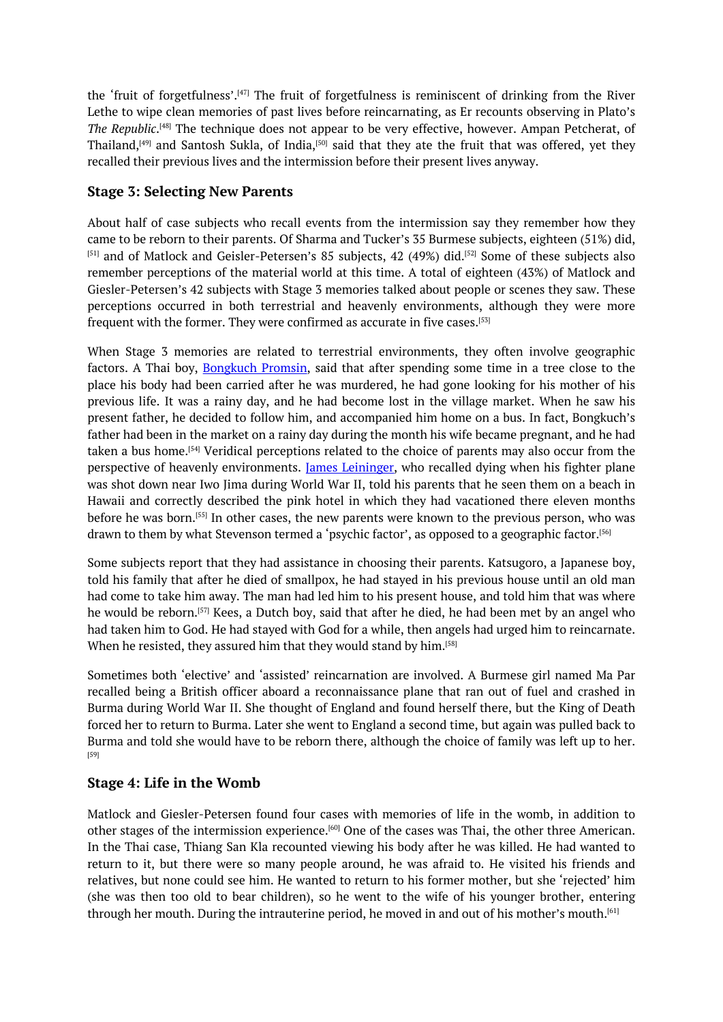the 'fruit of forgetfulness'.<sup>[47]</sup> The fruit of forgetfulness is reminiscent of drinking from the River Lethe to wipe clean memories of past lives before reincarnating, as Er recounts observing in Plato's *The Republic*. [48] The technique does not appear to be very effective, however. Ampan Petcherat, of Thailand, $^{[49]}$  and Santosh S[uk](#page-0-0)la, of India, $^{[50]}$  said that they ate the fruit that was offered, yet they recalled their previous lives and the intermission before their present lives anyway.

#### **Stage 3: [Sele](#page-0-0)cting New Parents**

About half of case subjects who recall events from the intermission say they remember how they came to be reborn to their parents. Of Sharma and Tucker's 35 Burmese subjects, eighteen (51%) did,  $[51]$  and of Matlock and Geisler-Petersen's 85 subjects, 42 (49%) did.<sup>[52]</sup> Some of these subjects also remember perceptions of the material world at this time. A total of eighteen (43%) of Matlock and Giesler-Petersen's 42 subjects with Stage 3 memories talked about people or scenes they saw. These [pe](#page-0-0)rceptions occurred in both terrestrial and heavenly environme[nts](#page-0-0), although they were more frequent with the former. They were confirmed as accurate in five cases. [53]

When Stage 3 memories are related to terrestrial environments, they often involve geographic factors. A Thai boy, **Bongkuch Promsin**, said that after spending some time in a tree close to the place his body had been carried after he was murdered, he had gone l[oo](#page-0-0)king for his mother of his previous life. It was a rainy day, and he had become lost in the village market. When he saw his present father, he decided to follow him, and accompanied him home on a bus. In fact, Bongkuch's father had been in the market on a rainy day during the month his wife became pregnant, and he had taken a bus home. [54] Veridical perceptions related to the choice of parents may also occur from the perspective of heavenly environments. James Leininger, who recalled dying when his fighter plane was shot down near Iwo Jima during World War II, told his parents that he seen them on a beach in Hawaii and corre[ctly](#page-0-0) described the pink hotel in which they had vacationed there eleven months before he was born.<sup>[55]</sup> In other cases, the new parents were known to the previous person, who was drawn to them by what Stevenson termed a 'psychic factor', as opposed to a geographic factor. [56]

Some subjects report that they had assistance in choosing their parents. Katsugoro, a Japanese boy, told his family that [aft](#page-0-0)er he died of smallpox, he had stayed in his previous house until an old man had come to take him away. The man had led him to his present house, and told him that was [w](#page-0-0)here he would be reborn. [57] Kees, a Dutch boy, said that after he died, he had been met by an angel who had taken him to God. He had stayed with God for a while, then angels had urged him to reincarnate. When he resisted, they assured him that they would stand by him. [58]

Sometimes both 'el[ect](#page-0-0)ive' and 'assisted' reincarnation are involved. A Burmese girl named Ma Par recalled being a British officer aboard a reconnaissance plane that ran out of fuel and crashed in Burma during World War II. She thought of England and found [her](#page-0-0)self there, but the King of Death forced her to return to Burma. Later she went to England a second time, but again was pulled back to Burma and told she would have to be reborn there, although the choice of family was left up to her. [59]

#### **Stage 4: Life in the Womb**

[Ma](#page-0-0)tlock and Giesler-Petersen found four cases with memories of life in the womb, in addition to other stages of the intermission experience.<sup>[60]</sup> One of the cases was Thai, the other three American. In the Thai case, Thiang San Kla recounted viewing his body after he was killed. He had wanted to return to it, but there were so many people around, he was afraid to. He visited his friends and relatives, but none could see him. He want[ed](#page-0-0) to return to his former mother, but she 'rejected' him (she was then too old to bear children), so he went to the wife of his younger brother, entering through her mouth. During the intrauterine period, he moved in and out of his mother's mouth. $^{\text{\tiny{[61]}}}$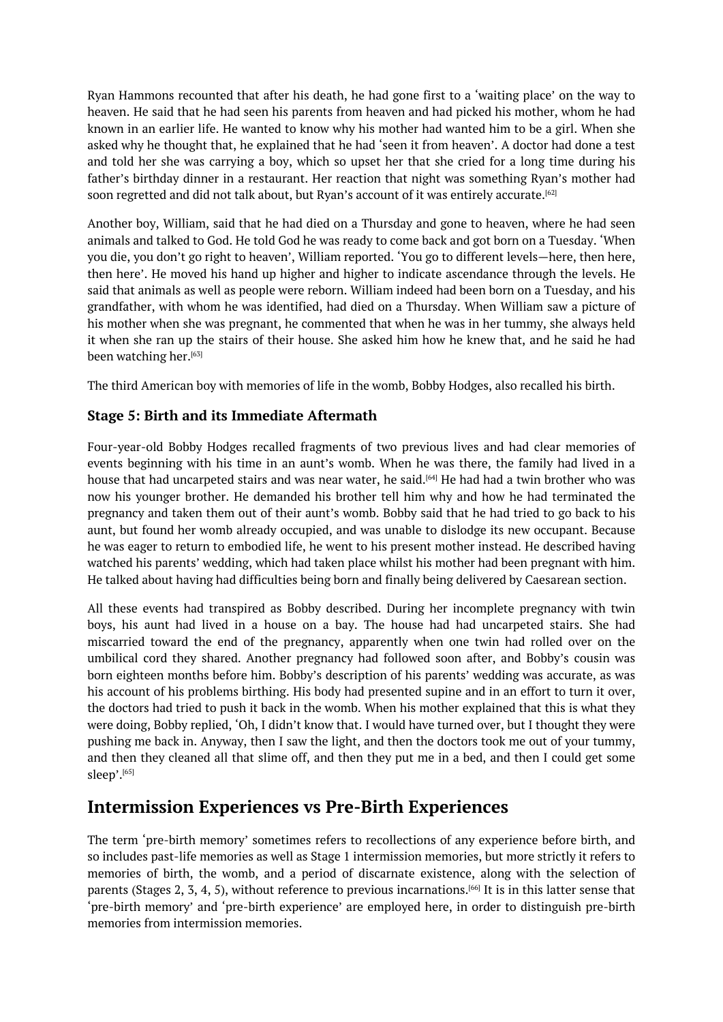Ryan Hammons recounted that after his death, he had gone first to a 'waiting place' on the way to heaven. He said that he had seen his parents from heaven and had picked his mother, whom he had known in an earlier life. He wanted to know why his mother had wanted him to be a girl. When she asked why he thought that, he explained that he had 'seen it from heaven'. A doctor had done a test and told her she was carrying a boy, which so upset her that she cried for a long time during his father's birthday dinner in a restaurant. Her reaction that night was something Ryan's mother had soon regretted and did not talk about, but Ryan's account of it was entirely accurate. $^{[62]}$ 

Another boy, William, said that he had died on a Thursday and gone to heaven, where he had seen animals and talked to God. He told God he was ready to come back and got born on a Tuesday. 'When you die, you don't go right to heaven', William reported. 'You go to different levels[—he](#page-0-0)re, then here, then here'. He moved his hand up higher and higher to indicate ascendance through the levels. He said that animals as well as people were reborn. William indeed had been born on a Tuesday, and his grandfather, with whom he was identified, had died on a Thursday. When William saw a picture of his mother when she was pregnant, he commented that when he was in her tummy, she always held it when she ran up the stairs of their house. She asked him how he knew that, and he said he had been watching her. [63]

The third American boy with memories of life in the womb, Bobby Hodges, also recalled his birth.

#### **Stage 5: Birth a[nd](#page-0-0) its Immediate Aftermath**

Four-year-old Bobby Hodges recalled fragments of two previous lives and had clear memories of events beginning with his time in an aunt's womb. When he was there, the family had lived in a house that had uncarpeted stairs and was near water, he said. [64] He had had a twin brother who was now his younger brother. He demanded his brother tell him why and how he had terminated the pregnancy and taken them out of their aunt's womb. Bobby said that he had tried to go back to his aunt, but found her womb already occupied, and was unable [to](#page-0-0) dislodge its new occupant. Because he was eager to return to embodied life, he went to his present mother instead. He described having watched his parents' wedding, which had taken place whilst his mother had been pregnant with him. He talked about having had difficulties being born and finally being delivered by Caesarean section.

All these events had transpired as Bobby described. During her incomplete pregnancy with twin boys, his aunt had lived in a house on a bay. The house had had uncarpeted stairs. She had miscarried toward the end of the pregnancy, apparently when one twin had rolled over on the umbilical cord they shared. Another pregnancy had followed soon after, and Bobby's cousin was born eighteen months before him. Bobby's description of his parents' wedding was accurate, as was his account of his problems birthing. His body had presented supine and in an effort to turn it over, the doctors had tried to push it back in the womb. When his mother explained that this is what they were doing, Bobby replied, 'Oh, I didn't know that. I would have turned over, but I thought they were pushing me back in. Anyway, then I saw the light, and then the doctors took me out of your tummy, and then they cleaned all that slime off, and then they put me in a bed, and then I could get some sleep'.[<sup>65]</sup>

## **Intermission Experiences vs Pre-Birth Experiences**

The t[erm](#page-0-0) 'pre-birth memory' sometimes refers to recollections of any experience before birth, and so includes past-life memories as well as Stage 1 intermission memories, but more strictly it refers to memories of birth, the womb, and a period of discarnate existence, along with the selection of parents (Stages 2, 3, 4, 5), without reference to previous incarnations. [66] It is in this latter sense that 'pre-birth memory' and 'pre-birth experience' are employed here, in order to distinguish pre-birth memories from intermission memories.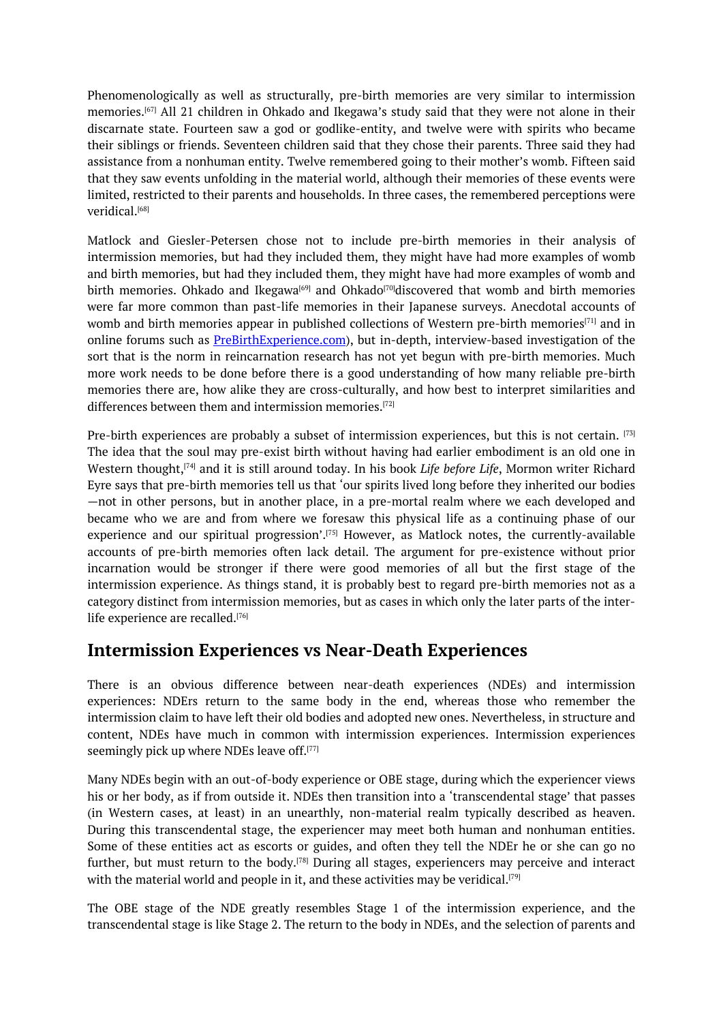Phenomenologically as well as structurally, pre-birth memories are very similar to intermission memories. [67] All 21 children in Ohkado and Ikegawa's study said that they were not alone in their discarnate state. Fourteen saw a god or godlike-entity, and twelve were with spirits who became their siblings or friends. Seventeen children said that they chose their parents. Three said they had assistance [fro](#page-0-0)m a nonhuman entity. Twelve remembered going to their mother's womb. Fifteen said that they saw events unfolding in the material world, although their memories of these events were limited, restricted to their parents and households. In three cases, the remembered perceptions were veridical. [68]

Matlock and Giesler-Petersen chose not to include pre-birth memories in their analysis of intermission memories, but had they included them, they might have had more examples of womb and birth [m](#page-0-0)emories, but had they included them, they might have had more examples of womb and birth memories. Ohkado and Ikegawa<sup>[69]</sup> and Ohkado<sup>[70]</sup>discovered that womb and birth memories were far more common than past-life memories in their Japanese surveys. Anecdotal accounts of womb and birth memories appear in published collections of Western pre-birth memories $^{\left[ 71\right] }$  and in online forums such as **PreBirthExperi[enc](#page-0-0)e.com**), but i[n-](#page-0-0)depth, interview-based investigation of the sort that is the norm in reincarnation research has not yet begun with pre-birth memories. Much more work needs to be done before there is a good understanding of how many reliable [pr](#page-0-0)e-birth memories there are, how alike they are cross-culturally, and how best to interpret similarities and differences between them and [intermission](http://www.prebirthmemories.com/) memories. [72]

Pre-birth experiences are probably a subset of intermission experiences, but this is not certain.  $^{[73]}$ The idea that the soul may pre-exist birth without having had earlier embodiment is an old one in Western thought, [74] and it is still around today. In his [b](#page-0-0)ook *Life before Life*, Mormon writer Richard Eyre says that pre-birth memories tell us that 'our spirits lived long before they inherited our bodi[es](#page-0-0) —not in other persons, but in another place, in a pre-mortal realm where we each developed and became who we [are](#page-0-0) and from where we foresaw this physical life as a continuing phase of our experience and our spiritual progression'.<sup>[75]</sup> However, as Matlock notes, the currently-available accounts of pre-birth memories often lack detail. The argument for pre-existence without prior incarnation would be stronger if there were good memories of all but the first stage of the intermission experience. As things stand, it is probably best to regard pre-birth memories not as a category distinct from intermission memori[es,](#page-0-0) but as cases in which only the later parts of the interlife experience are recalled. [76]

## **Intermission Experiences vs Near-Death Experiences**

There is an obvious di[ffe](#page-0-0)rence between near-death experiences (NDEs) and intermission experiences: NDErs return to the same body in the end, whereas those who remember the intermission claim to have left their old bodies and adopted new ones. Nevertheless, in structure and content, NDEs have much in common with intermission experiences. Intermission experiences seemingly pick up where NDEs leave off. [77]

Many NDEs begin with an out-of-body experience or OBE stage, during which the experiencer views his or her body, as if from outside it. NDEs then transition into a 'transcendental stage' that passes (in Western cases, at least) in an un[ear](#page-0-0)thly, non-material realm typically described as heaven. During this transcendental stage, the experiencer may meet both human and nonhuman entities. Some of these entities act as escorts or guides, and often they tell the NDEr he or she can go no further, but must return to the body.<sup>[78]</sup> During all stages, experiencers may perceive and interact with the material world and people in it, and these activities may be veridical.  $^{\left[ 79\right] }$ 

The OBE stage of the NDE greatly resembles Stage 1 of the intermission experience, and the transcendental stage is like Stage 2. T[he](#page-0-0) return to the body in NDEs, and the selection of parents and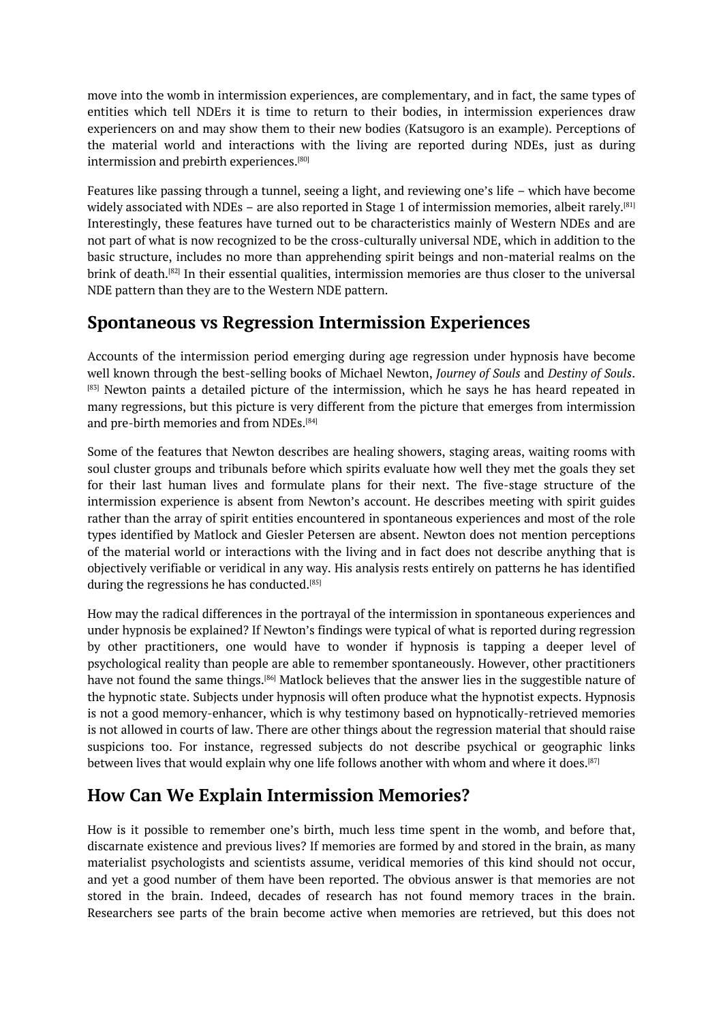move into the womb in intermission experiences, are complementary, and in fact, the same types of entities which tell NDErs it is time to return to their bodies, in intermission experiences draw experiencers on and may show them to their new bodies (Katsugoro is an example). Perceptions of the material world and interactions with the living are reported during NDEs, just as during intermission and prebirth experiences. [80]

Features like passing through a tunnel, seeing a light, and reviewing one's life – which have become widely associated with NDEs – are also reported in Stage 1 of intermission memories, albeit rarely. $^{\text{[81]}}$ Interestingly, these features have tur[ned](#page-0-0) out to be characteristics mainly of Western NDEs and are not part of what is now recognized to be the cross-culturally universal NDE, which in addition to the basic structure, includes no more than apprehending spirit beings and non-material realms on t[he](#page-0-0) brink of death.<sup>[82]</sup> In their essential qualities, intermission memories are thus closer to the universal NDE pattern than they are to the Western NDE pattern.

## **Spontane[ou](#page-0-0)s vs Regression Intermission Experiences**

Accounts of the intermission period emerging during age regression under hypnosis have become well known through the best-selling books of Michael Newton, *Journey of Souls* and *Destiny of Souls*. <sup>[83]</sup> Newton paints a detailed picture of the intermission, which he says he has heard repeated in many regressions, but this picture is very different from the picture that emerges from intermission and pre-birth memories and from NDEs. [84]

[So](#page-0-0)me of the features that Newton describes are healing showers, staging areas, waiting rooms with soul cluster groups and tribunals before which spirits evaluate how well they met the goals they set for their last human lives and formu[lat](#page-0-0)e plans for their next. The five-stage structure of the intermission experience is absent from Newton's account. He describes meeting with spirit guides rather than the array of spirit entities encountered in spontaneous experiences and most of the role types identified by Matlock and Giesler Petersen are absent. Newton does not mention perceptions of the material world or interactions with the living and in fact does not describe anything that is objectively verifiable or veridical in any way. His analysis rests entirely on patterns he has identified during the regressions he has conducted. [85]

How may the radical differences in the portrayal of the intermission in spontaneous experiences and under hypnosis be explained? If Newton's findings were typical of what is reported during regression by other practitioners, one would ha[ve](#page-0-0) to wonder if hypnosis is tapping a deeper level of psychological reality than people are able to remember spontaneously. However, other practitioners have not found the same things.<sup>[86]</sup> Matlock believes that the answer lies in the suggestible nature of the hypnotic state. Subjects under hypnosis will often produce what the hypnotist expects. Hypnosis is not a good memory-enhancer, which is why testimony based on hypnotically-retrieved memories is not allowed in courts of law. T[he](#page-0-0)re are other things about the regression material that should raise suspicions too. For instance, regressed subjects do not describe psychical or geographic links between lives that would explain why one life follows another with whom and where it does. $^{\text{[87]}}$ 

## **How Can We Explain Intermission Memories?**

How is it possible to remember one's birth, much less time spent in the womb, and bef[ore](#page-0-0) that, discarnate existence and previous lives? If memories are formed by and stored in the brain, as many materialist psychologists and scientists assume, veridical memories of this kind should not occur, and yet a good number of them have been reported. The obvious answer is that memories are not stored in the brain. Indeed, decades of research has not found memory traces in the brain. Researchers see parts of the brain become active when memories are retrieved, but this does not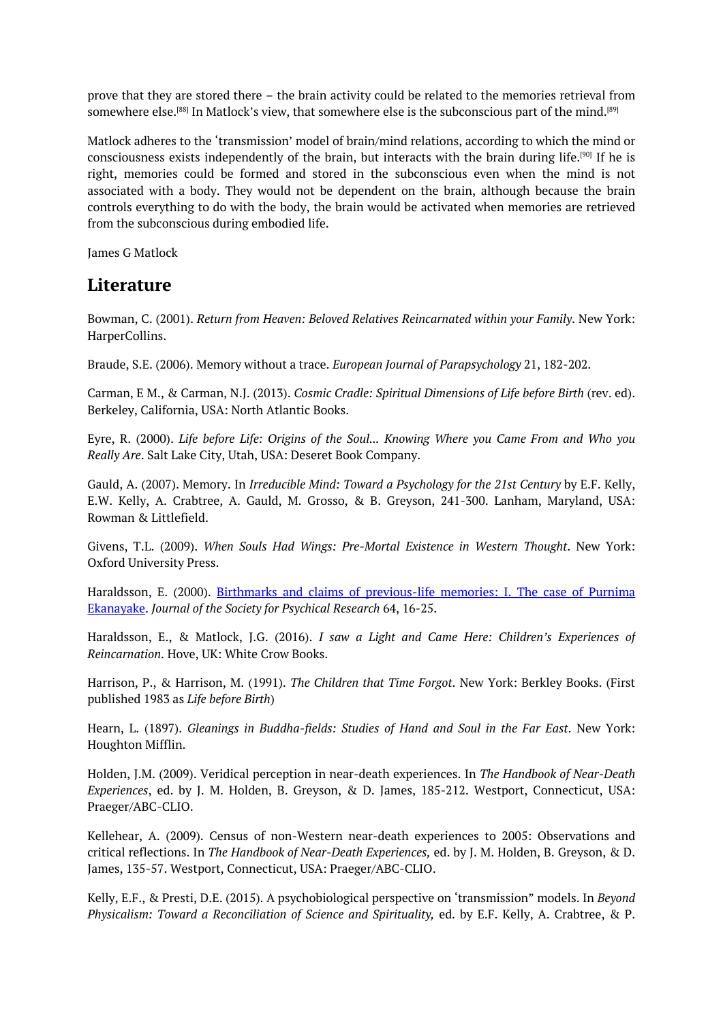prove that they are stored there – the brain activity could be related to the memories retrieval from somewhere else.[88] In Matlock's view, that somewhere else is the subconscious part of the mind.[89]

Matlock adheres to the 'transmission' model of brain/mind relations, according to which the mind or consciousness exists independently of the brain, but interacts with the brain during life. [90] If he is right, memories [c](#page-0-0)ould be formed and stored in the subconscious even when the mind i[s](#page-0-0) not associated with a body. They would not be dependent on the brain, although because the brain controls everything to do with the body, the brain would be activated when memories are [re](#page-0-0)trieved from the subconscious during embodied life.

James G Matlock

#### **Literature**

Bowman, C. (2001). *Return from Heaven: Beloved Relatives Reincarnated within your Family*. New York: HarperCollins.

Braude, S.E. (2006). Memory without a trace. *European Journal of Parapsychology* 21, 182-202.

Carman, E M., & Carman, N.J. (2013). *Cosmic Cradle: Spiritual Dimensions of Life before Birth* (rev. ed). Berkeley, California, USA: North Atlantic Books.

Eyre, R. (2000). *Life before Life: Origins of the Soul... Knowing Where you Came From and Who you Really Are*. Salt Lake City, Utah, USA: Deseret Book Company.

Gauld, A. (2007). Memory. In *Irreducible Mind: Toward a Psychology for the 21st Century* by E.F. Kelly, E.W. Kelly, A. Crabtree, A. Gauld, M. Grosso, & B. Greyson, 241-300. Lanham, Maryland, USA: Rowman & Littlefield.

Givens, T.L. (2009). *When Souls Had Wings: Pre-Mortal Existence in Western Thought*. New York: Oxford University Press.

Haraldsson, E. (2000). Birthmarks and claims of previous-life memories: I. The case of Purnima Ekanayake. *Journal of the Society for Psychical Research* 64, 16-25.

Haraldsson, E., & Matlock, J.G. (2016). *I saw a Light and Came Here: Children's Experiences of [Reincarnation](https://notendur.hi.is/erlendur/english/cort/purnima.pdf)*. Hove, UK: White Crow Books.

Harrison, P., & Harrison, M. (1991). *The Children that Time Forgot*. New York: Berkley Books. (First published 1983 as *Life before Birth*)

Hearn, L. (1897). *Gleanings in Buddha-fields: Studies of Hand and Soul in the Far East*. New York: Houghton Mifflin.

Holden, J.M. (2009). Veridical perception in near-death experiences. In *The Handbook of Near-Death Experiences*, ed. by J. M. Holden, B. Greyson, & D. James, 185-212. Westport, Connecticut, USA: Praeger/ABC-CLIO.

Kellehear, A. (2009). Census of non-Western near-death experiences to 2005: Observations and critical reflections. In *The Handbook of Near-Death Experiences,* ed. by J. M. Holden, B. Greyson, & D. James, 135-57. Westport, Connecticut, USA: Praeger/ABC-CLIO.

Kelly, E.F., & Presti, D.E. (2015). A psychobiological perspective on 'transmission" models. In *Beyond Physicalism: Toward a Reconciliation of Science and Spirituality,* ed. by E.F. Kelly, A. Crabtree, & P.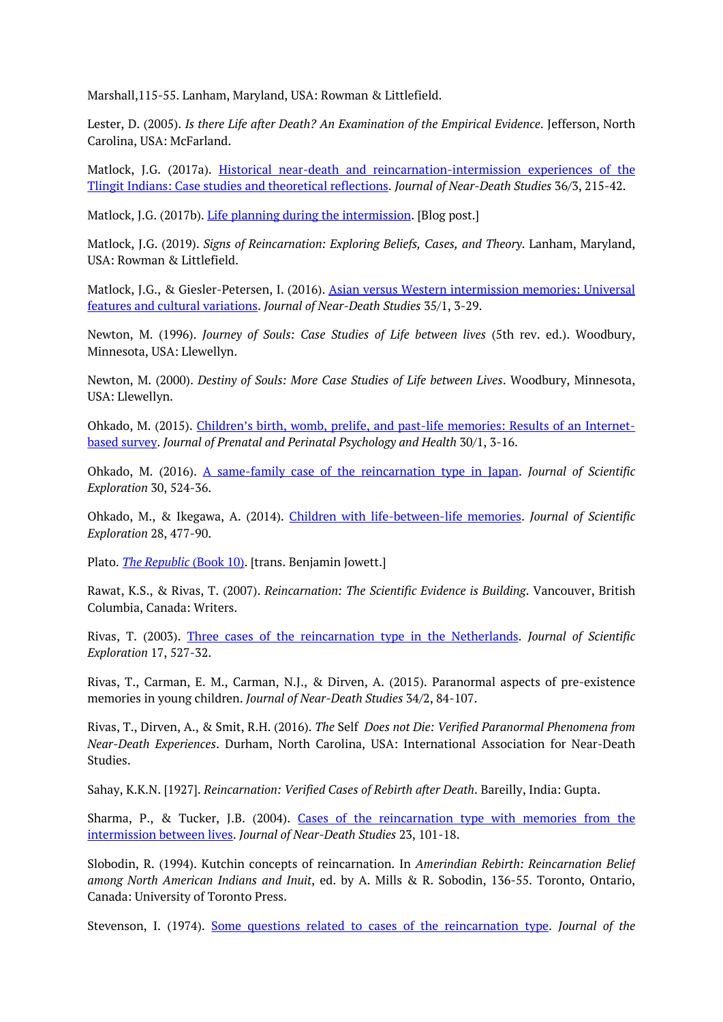Marshall,115-55. Lanham, Maryland, USA: Rowman & Littlefield.

Lester, D. (2005). *Is there Life after Death? An Examination of the Empirical Evidence*. Jefferson, North Carolina, USA: McFarland.

Matlock, J.G. (2017a). Historical near-death and reincarnation-intermission experiences of the Tlingit Indians: Case studies and theoretical reflections. *Journal of Near-Death Studies* 36/3, 215-42.

Matlock, J.G. (2017b). *Life planning during the intermission*. [Blog post.]

Matlock, J.G. (2019). *Signs of [Reincarnation:](http://jamesgmatlock.com/wp-content/uploads/2018/03/Matlock-2017-Tlingit-NDEs-and-IEs.pdf) Exploring Beliefs, Cases, and Theory*. Lanham, Maryland, USA: Rowman & Littl[efield.](http://jamesgmatlock.com/2017/04/18/life-planning-during-the-intermission/)

Matlock, J.G., & Giesler-Petersen, I. (2016). Asian versus Western intermission memories: Universal features and cultural variations. *Journal of Near-Death Studies* 35/1, 3-29.

Newton, M. (1996). *Journey of Souls: Case Studies of Life between lives* (5th rev. ed.). Woodbury, [Minnesota,](http://jamesgmatlock.com/wp-content/uploads/2018/02/Matlock-Giesler-Petersen-2016-IMs-1.pdf) USA: Llewellyn.

Newton, M. (2000). *Destiny of Souls: More Case Studies of Life between Lives*. Woodbury, Minnesota, USA: Llewellyn.

Ohkado, M. (2015). Children's birth, womb, prelife, and past-life memories: Results of an Internetbased survey. *Journal of Prenatal and Perinatal Psychology and Health* 30/1, 3-16.

Ohkado, M. (2016). A same-family case of the reincarnation type in Japan. *Journal of Scientific [Exploration](https://birthpsychology.com/sites/default/files/file-uploads/masayuki_0.pdf)* 30, 524-36.

Ohkado, M., & Ikegawa, A. (2014). Children with life-between-life memories. *Journal of Scientific Exploration* 28, 477-9[0.](https://www.scientificexploration.org/docs/30/jse_30_4_Ohkado.pdf)

Plato. *The Republic* (Book 10). [trans. [Benjamin](http://ohkado.net/articles/ohkado_ikegawa_2014.pdf) Jowett.]

Rawat, K.S., & Rivas, T. (2007). *Reincarnation: The Scientific Evidence is Building*. Vancouver, British Columbia, [Canada:](http://classics.mit.edu/Plato/republic.11.x.html) Writers.

Rivas, T. (2003). Three cases of the reincarnation type in the Netherlands. *Journal of Scientific Exploration* 17, 527-32.

Rivas, T., Carman, E. M., Carman, N.J., & Dirven, A. (2015). Paranormal aspects of pre-existence memories in young children. *Journal of [Near-Death](http://citeseerx.ist.psu.edu/viewdoc/download?doi=10.1.1.513.3849&rep=rep1&type=pdf) Studies* 34/2, 84-107.

Rivas, T., Dirven, A., & Smit, R.H. (2016). *The* Self *Does not Die: Verified Paranormal Phenomena from Near-Death Experiences*. Durham, North Carolina, USA: International Association for Near-Death Studies.

Sahay, K.K.N. [1927]. *Reincarnation: Verified Cases of Rebirth after Death*. Bareilly, India: Gupta.

Sharma, P., & Tucker, J.B. (2004). Cases of the reincarnation type with memories from the intermission between lives. *Journal of Near-Death Studies* 23, 101-18.

Slobodin, R. (1994). Kutchin concepts of reincarnation. In *Amerindian Rebirth: Reincarnation Belief among North American Indians and Inuit*, ed. by A. Mills & R. Sobodin, 136-55. Toronto, Ontario, Canada: [University](https://med.virginia.edu/perceptual-studies/wp-content/uploads/sites/267/2015/11/REI31.pdf.) of Toronto Press.

Stevenson, I. (1974). Some questions related to cases of the reincarnation type. *Journal of the*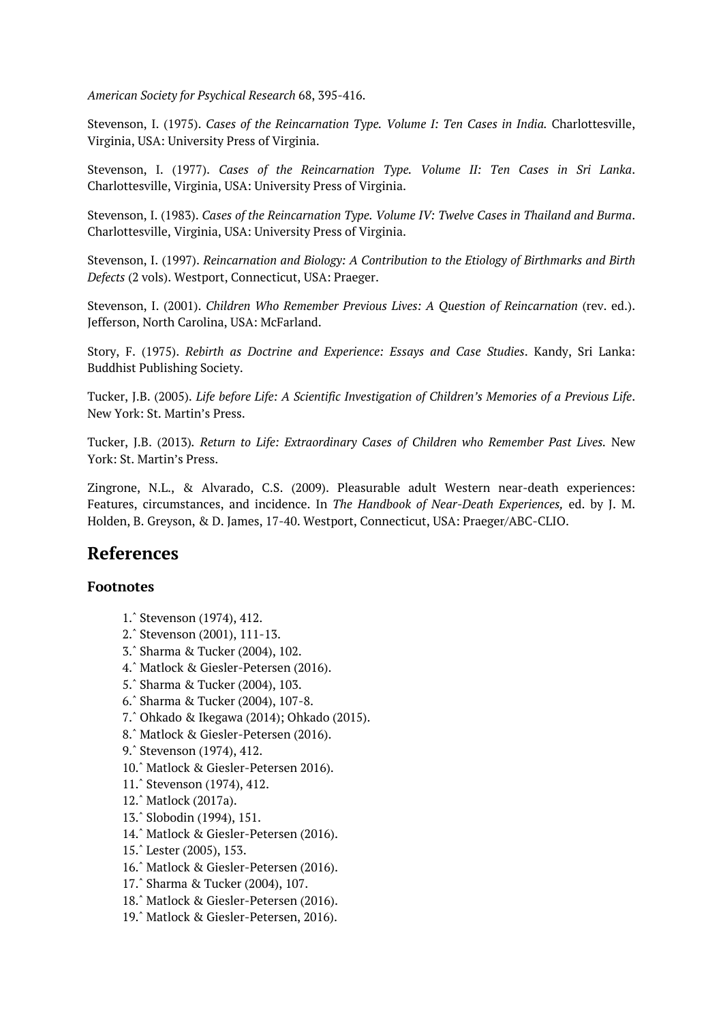*American Society for Psychical Research* 68, 395-416.

Stevenson, I. (1975). *Cases of the Reincarnation Type. Volume I: Ten Cases in India.* Charlottesville, Virginia, USA: University Press of Virginia.

Stevenson, I. (1977). *Cases of the Reincarnation Type. Volume II: Ten Cases in Sri Lanka*. Charlottesville, Virginia, USA: University Press of Virginia.

Stevenson, I. (1983). *Cases of the Reincarnation Type. Volume IV: Twelve Cases in Thailand and Burma*. Charlottesville, Virginia, USA: University Press of Virginia.

Stevenson, I. (1997). *Reincarnation and Biology: A Contribution to the Etiology of Birthmarks and Birth Defects* (2 vols). Westport, Connecticut, USA: Praeger.

Stevenson, I. (2001). *Children Who Remember Previous Lives: A Question of Reincarnation* (rev. ed.). Jefferson, North Carolina, USA: McFarland.

Story, F. (1975). *Rebirth as Doctrine and Experience: Essays and Case Studies*. Kandy, Sri Lanka: Buddhist Publishing Society.

Tucker, J.B. (2005). *Life before Life: A Scientific Investigation of Children's Memories of a Previous Life*. New York: St. Martin's Press.

Tucker, J.B. (2013)*. Return to Life: Extraordinary Cases of Children who Remember Past Lives.* New York: St. Martin's Press.

Zingrone, N.L., & Alvarado, C.S. (2009). Pleasurable adult Western near-death experiences: Features, circumstances, and incidence. In *The Handbook of Near-Death Experiences,* ed. by J. M. Holden, B. Greyson, & D. James, 17-40. Westport, Connecticut, USA: Praeger/ABC-CLIO.

## **References**

#### **Footnotes**

- 1.ˆ Stevenson (1974), 412.
- 2.ˆ Stevenson (2001), 111-13.
- 3.ˆ Sharma & Tucker (2004), 102.
- 4.ˆ Matlock & Giesler-Petersen (2016).
- [5.ˆ](#page-0-0) Sharma & Tucker (2004), 103.
- [6.ˆ](#page-0-0) Sharma & Tucker (2004), 107-8.
- [7.ˆ](#page-0-0) Ohkado & Ikegawa (2014); Ohkado (2015).
- [8.ˆ](#page-0-0) Matlock & Giesler-Petersen (2016).
- [9.ˆ](#page-0-0) Stevenson (1974), 412.
- [10.](#page-0-0)ˆ Matlock & Giesler-Petersen 2016).
- [11.](#page-0-0)ˆ Stevenson (1974), 412.
- [12.](#page-0-0)ˆ Matlock (2017a).
- [13.](#page-0-0)ˆ Slobodin (1994), 151.
- [14.ˆ](#page-0-0) Matlock & Giesler-Petersen (2016).
- [15.ˆ](#page-0-0) Lester (2005), 153.
- [16.ˆ](#page-0-0) Matlock & Giesler-Petersen (2016).
- [17.ˆ](#page-0-0) Sharma & Tucker (2004), 107.
- [18.ˆ](#page-0-0) Matlock & Giesler-Petersen (2016).
- [19.ˆ](#page-0-0) Matlock & Giesler-Petersen, 2016).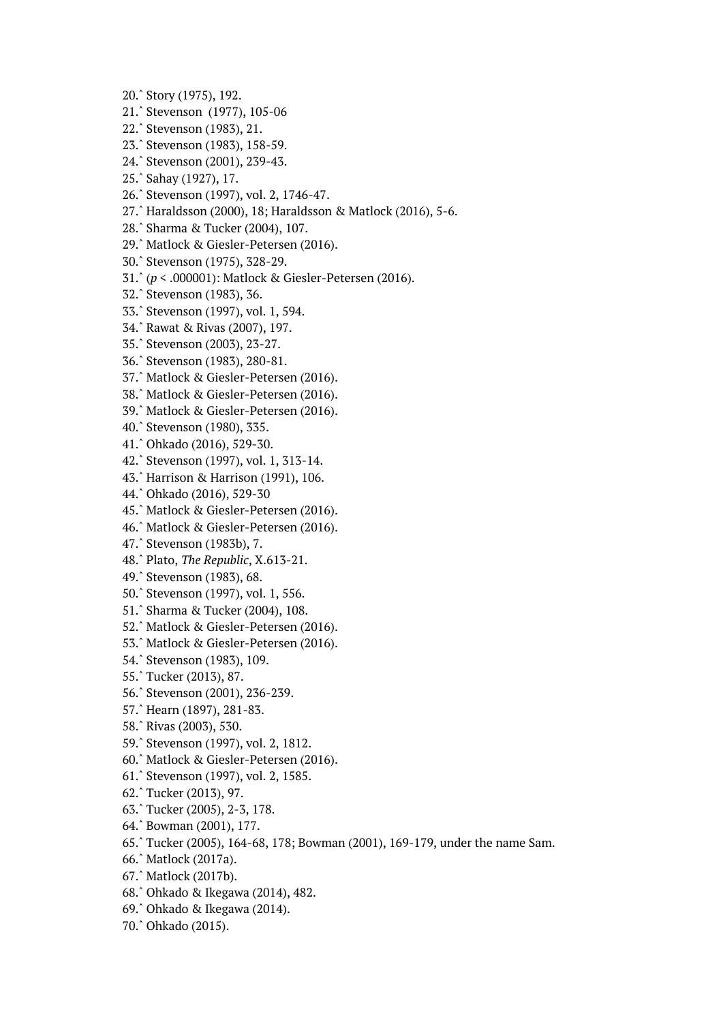- 20.ˆ Story (1975), 192.
- 21.ˆ Stevenson (1977), 105-06
- 22.ˆ Stevenson (1983), 21.
- 23.ˆ Stevenson (1983), 158-59.
- [24.ˆ](#page-0-0) Stevenson (2001), 239-43.
- [25.ˆ](#page-0-0) Sahay (1927), 17.
- [26.ˆ](#page-0-0) Stevenson (1997), vol. 2, 1746-47.
- [27.ˆ](#page-0-0) Haraldsson (2000), 18; Haraldsson & Matlock (2016), 5-6.
- [28.ˆ](#page-0-0) Sharma & Tucker (2004), 107.
- [29.ˆ](#page-0-0) Matlock & Giesler-Petersen (2016).
- [30.ˆ](#page-0-0) Stevenson (1975), 328-29.
- [31.ˆ](#page-0-0) (*p* < .000001): Matlock & Giesler-Petersen (2016).
- [32.ˆ](#page-0-0) Stevenson (1983), 36.
- [33.ˆ](#page-0-0) Stevenson (1997), vol. 1, 594.
- [34.ˆ](#page-0-0) Rawat & Rivas (2007), 197.
- [35.ˆ](#page-0-0) Stevenson (2003), 23-27.
- [36.ˆ](#page-0-0) Stevenson (1983), 280-81.
- [37.ˆ](#page-0-0) Matlock & Giesler-Petersen (2016).
- [38.ˆ](#page-0-0) Matlock & Giesler-Petersen (2016).
- [39.ˆ](#page-0-0) Matlock & Giesler-Petersen (2016).
- [40.ˆ](#page-0-0) Stevenson (1980), 335.
- [41.ˆ](#page-0-0) Ohkado (2016), 529-30.
- [42.ˆ](#page-0-0) Stevenson (1997), vol. 1, 313-14.
- [43.ˆ](#page-0-0) Harrison & Harrison (1991), 106.
- [44.ˆ](#page-0-0) Ohkado (2016), 529-30
- [45.ˆ](#page-0-0) Matlock & Giesler-Petersen (2016).
- [46.ˆ](#page-0-0) Matlock & Giesler-Petersen (2016).
- [47.ˆ](#page-0-0) Stevenson (1983b), 7.
- [48.ˆ](#page-0-0) Plato, *The Republic*, X.613-21.
- [49.ˆ](#page-0-0) Stevenson (1983), 68.
- [50.ˆ](#page-0-0) Stevenson (1997), vol. 1, 556.
- [51.ˆ](#page-0-0) Sharma & Tucker (2004), 108.
- [52.ˆ](#page-0-0) Matlock & Giesler-Petersen (2016).
- [53.ˆ](#page-0-0) Matlock & Giesler-Petersen (2016).
- [54.ˆ](#page-0-0) Stevenson (1983), 109.
- [55.ˆ](#page-0-0) Tucker (2013), 87.
- [56.ˆ](#page-0-0) Stevenson (2001), 236-239.
- [57.ˆ](#page-0-0) Hearn (1897), 281-83.
- [58.ˆ](#page-0-0) Rivas (2003), 530.
- [59.ˆ](#page-0-0) Stevenson (1997), vol. 2, 1812.
- [60.ˆ](#page-0-0) Matlock & Giesler-Petersen (2016).
- [61.ˆ](#page-0-0) Stevenson (1997), vol. 2, 1585.
- [62.ˆ](#page-0-0) Tucker (2013), 97.
- [63.ˆ](#page-0-0) Tucker (2005), 2-3, 178.
- [64.ˆ](#page-0-0) Bowman (2001), 177.
- [65.ˆ](#page-0-0) Tucker (2005), 164-68, 178; Bowman (2001), 169-179, under the name Sam.
- [66.ˆ](#page-0-0) Matlock (2017a).
- [67.ˆ](#page-0-0) Matlock (2017b).
- [68.ˆ](#page-0-0) Ohkado & Ikegawa (2014), 482.
- [69.ˆ](#page-0-0) Ohkado & Ikegawa (2014).
- [70.ˆ](#page-0-0) Ohkado (2015).